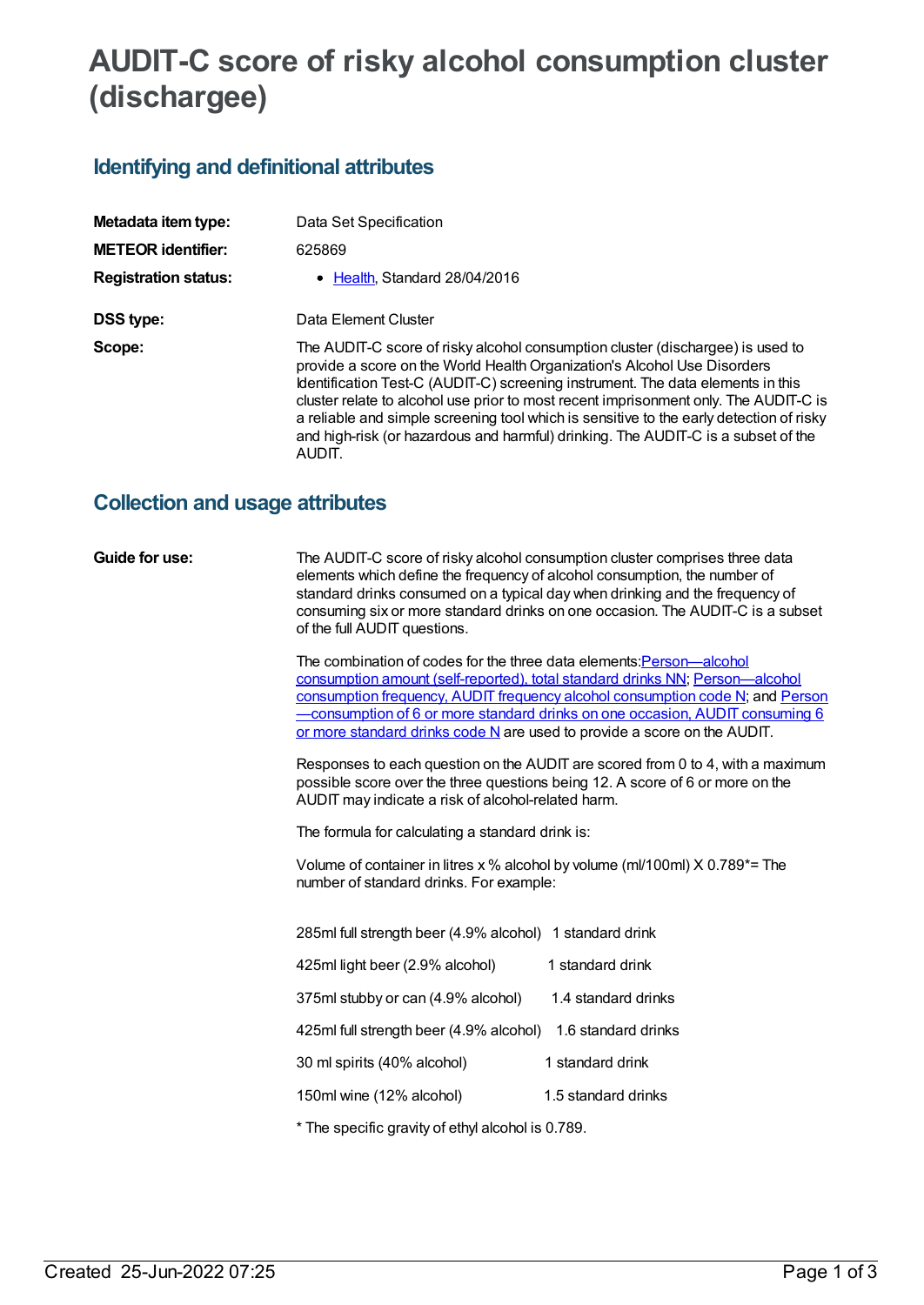# **AUDIT-C score of risky alcohol consumption cluster (dischargee)**

# **Identifying and definitional attributes**

| Metadata item type:         | Data Set Specification                                                                                                                                                                                                                                                                                                                                                                                                                                                                                                          |
|-----------------------------|---------------------------------------------------------------------------------------------------------------------------------------------------------------------------------------------------------------------------------------------------------------------------------------------------------------------------------------------------------------------------------------------------------------------------------------------------------------------------------------------------------------------------------|
| <b>METEOR identifier:</b>   | 625869                                                                                                                                                                                                                                                                                                                                                                                                                                                                                                                          |
| <b>Registration status:</b> | • Health, Standard 28/04/2016                                                                                                                                                                                                                                                                                                                                                                                                                                                                                                   |
| DSS type:                   | Data Element Cluster                                                                                                                                                                                                                                                                                                                                                                                                                                                                                                            |
| Scope:                      | The AUDIT-C score of risky alcohol consumption cluster (dischargee) is used to<br>provide a score on the World Health Organization's Alcohol Use Disorders<br>Identification Test-C (AUDIT-C) screening instrument. The data elements in this<br>cluster relate to alcohol use prior to most recent imprisonment only. The AUDIT-C is<br>a reliable and simple screening tool which is sensitive to the early detection of risky<br>and high-risk (or hazardous and harmful) drinking. The AUDIT-C is a subset of the<br>AUDIT. |

# **Collection and usage attributes**

**Guide for use:** The AUDIT-C score of risky alcohol consumption cluster comprises three data elements which define the frequency of alcohol consumption, the number of standard drinks consumed on a typical day when drinking and the frequency of consuming six or more standard drinks on one occasion. The AUDIT-C is a subset of the full AUDIT questions.

> The combination of codes for the three data elements: Person-alcohol consumption amount (self-reported), total standard drinks NN; [Person—alcohol](file:///content/632018) consumption frequency, AUDIT frequency alcohol consumption code N; and Person [—consumption](file:///content/625881) of 6 or more standard drinks on one occasion, AUDIT consuming 6 or more standard drinks code N are used to provide a score on the AUDIT.

> Responses to each question on the AUDIT are scored from 0 to 4, with a maximum possible score over the three questions being 12. A score of 6 or more on the AUDIT may indicate a risk of alcohol-related harm.

The formula for calculating a standard drink is:

Volume of container in litres x % alcohol by volume (ml/100ml) X 0.789\*= The number of standard drinks. For example:

| 285ml full strength beer (4.9% alcohol) 1 standard drink |                     |
|----------------------------------------------------------|---------------------|
| 425ml light beer (2.9% alcohol)                          | 1 standard drink    |
| 375ml stubby or can (4.9% alcohol)                       | 1.4 standard drinks |
| 425ml full strength beer (4.9% alcohol)                  | 1.6 standard drinks |
| 30 ml spirits (40% alcohol)                              | 1 standard drink    |
| 150ml wine (12% alcohol)                                 | 1.5 standard drinks |

\* The specific gravity of ethyl alcohol is 0.789.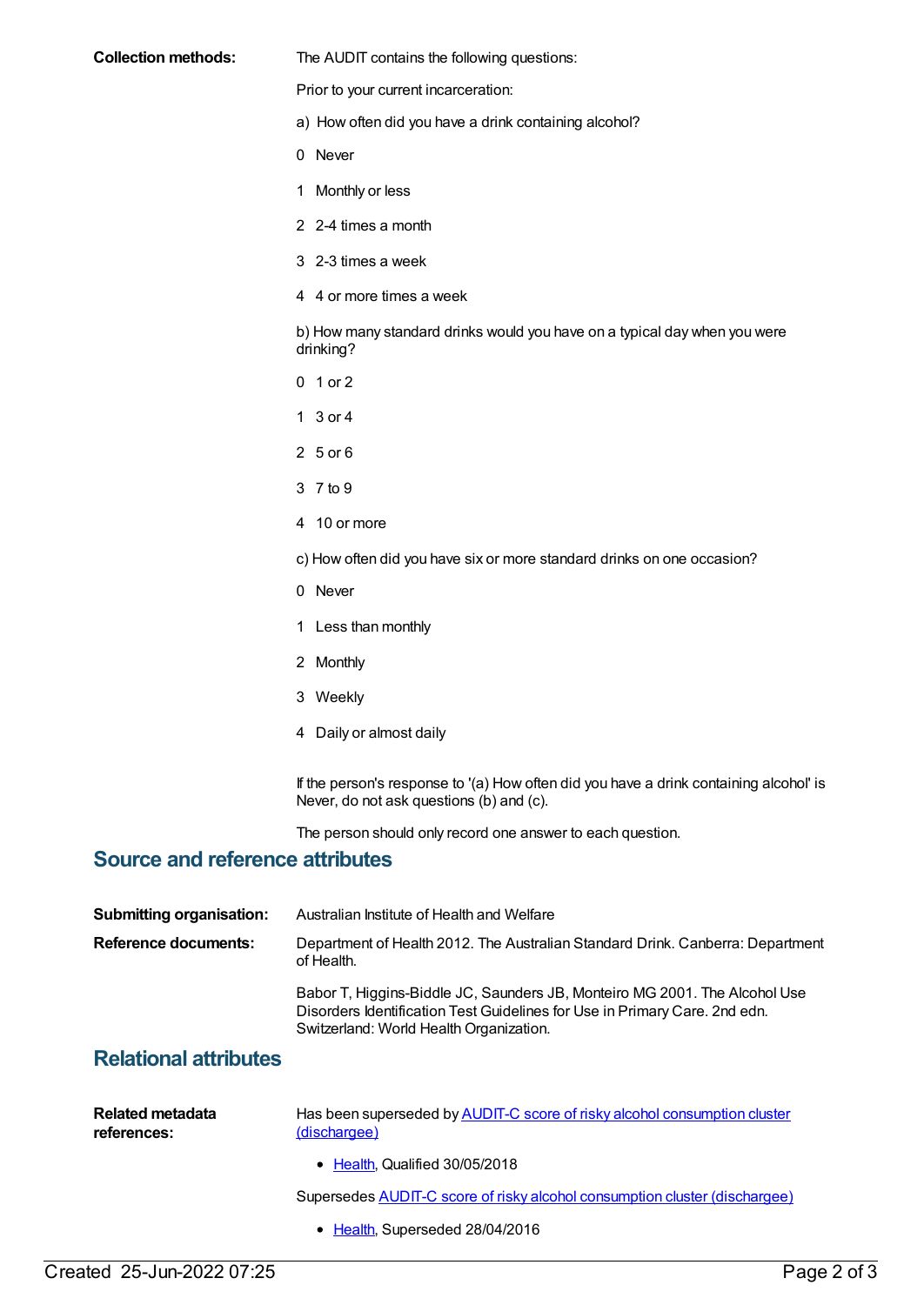### **Collection methods:** The AUDIT contains the following questions:

Prior to your current incarceration:

- a) How often did you have a drink containing alcohol?
- 0 Never
- 1 Monthly or less
- 2 2-4 times a month
- 3 2-3 times a week
- 4 4 or more times a week

b) How many standard drinks would you have on a typical day when you were drinking?

- 0 1 or 2
- 1 3 or 4
- 2 5 or 6
- 3 7 to 9
- 4 10 or more
- c) How often did you have six or more standard drinks on one occasion?
- 0 Never
- 1 Less than monthly
- 2 Monthly
- 3 Weekly
- 4 Daily or almost daily

If the person's response to '(a) How often did you have a drink containing alcohol' is Never, do not ask questions (b) and (c).

The person should only record one answer to each question.

## **Source and reference attributes**

| <b>Submitting organisation:</b> | Australian Institute of Health and Welfare                                                                                                                                                          |
|---------------------------------|-----------------------------------------------------------------------------------------------------------------------------------------------------------------------------------------------------|
| Reference documents:            | Department of Health 2012. The Australian Standard Drink. Canberra: Department<br>of Health.                                                                                                        |
|                                 | Babor T, Higgins-Biddle JC, Saunders JB, Monteiro MG 2001. The Alcohol Use<br>Disorders Identification Test Guidelines for Use in Primary Care. 2nd edn.<br>Switzerland: World Health Organization. |
| $\sim$                          |                                                                                                                                                                                                     |

## **Relational attributes**

| Related metadata | Has been superseded by AUDIT-C score of risky alcohol consumption cluster |
|------------------|---------------------------------------------------------------------------|
| references:      | (dischargee)                                                              |

• [Health](https://meteor.aihw.gov.au/RegistrationAuthority/12), Qualified 30/05/2018

Supersedes AUDIT-C score of risky alcohol [consumption](https://meteor.aihw.gov.au/content/483163) cluster (dischargee)

• [Health](https://meteor.aihw.gov.au/RegistrationAuthority/12), Superseded 28/04/2016